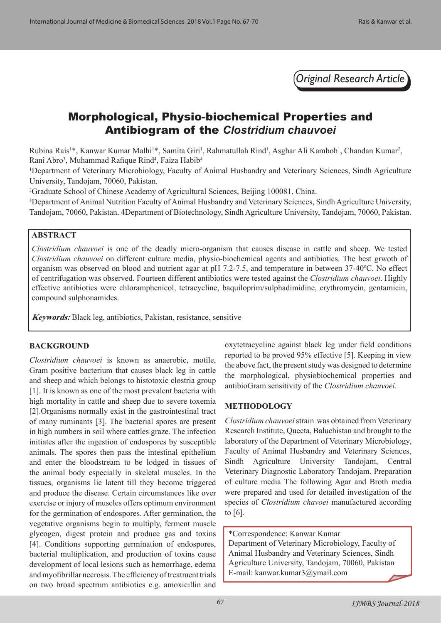*Original Research Article*

# Morphological, Physio-biochemical Properties and Antibiogram of the *Clostridium chauvoei*

Rubina Rais<sup>1\*</sup>, Kanwar Kumar Malhi<sup>1\*</sup>, Samita Giri<sup>1</sup>, Rahmatullah Rind<sup>1</sup>, Asghar Ali Kamboh<sup>1</sup>, Chandan Kumar<sup>2</sup>, Rani Abro<sup>3</sup>, Muhammad Rafique Rind<sup>4</sup>, Faiza Habib<sup>4</sup>

<sup>1</sup>Department of Veterinary Microbiology, Faculty of Animal Husbandry and Veterinary Sciences, Sindh Agriculture University, Tandojam, 70060, Pakistan.

2 Graduate School of Chinese Academy of Agricultural Sciences, Beijing 100081, China.

3 Department of Animal Nutrition Faculty of Animal Husbandry and Veterinary Sciences, Sindh Agriculture University, Tandojam, 70060, Pakistan. 4Department of Biotechnology, Sindh Agriculture University, Tandojam, 70060, Pakistan.

#### **ABSTRACT**

*Clostridium chauvoei* is one of the deadly micro-organism that causes disease in cattle and sheep. We tested *Clostridium chauvoei* on different culture media, physio-biochemical agents and antibiotics. The best grwoth of organism was observed on blood and nutrient agar at pH 7.2-7.5, and temperature in between 37-40ºC. No effect of centrifugation was observed. Fourteen different antibiotics were tested against the *Clostridium chauvoei*. Highly effective antibiotics were chloramphenicol, tetracycline, baquiloprim/sulphadimidine, erythromycin, gentamicin, compound sulphonamides.

**Keywords:** Black leg, antibiotics, Pakistan, resistance, sensitive

#### **BACKGROUND**

*Clostridium chauvoei* is known as anaerobic, motile, Gram positive bacterium that causes black leg in cattle and sheep and which belongs to histotoxic clostria group [1]. It is known as one of the most prevalent bacteria with high mortality in cattle and sheep due to severe toxemia [2].Organisms normally exist in the gastrointestinal tract of many ruminants [3]. The bacterial spores are present in high numbers in soil where cattles graze. The infection initiates after the ingestion of endospores by susceptible animals. The spores then pass the intestinal epithelium and enter the bloodstream to be lodged in tissues of the animal body especially in skeletal muscles. In the tissues, organisms lie latent till they become triggered and produce the disease. Certain circumstances like over exercise or injury of muscles offers optimum environment for the germination of endospores. After germination, the vegetative organisms begin to multiply, ferment muscle glycogen, digest protein and produce gas and toxins [4]. Conditions supporting germination of endospores, bacterial multiplication, and production of toxins cause development of local lesions such as hemorrhage, edema and myofibrillar necrosis. The efficiency of treatment trials on two broad spectrum antibiotics e.g. amoxicillin and

oxytetracycline against black leg under field conditions reported to be proved 95% effective [5]. Keeping in view the above fact, the present study was designed to determine the morphological, physiobiochemical properties and antibioGram sensitivity of the *Clostridium chauvoei*.

#### **METHODOLOGY**

*Clostridium chauvoei* strain was obtained from Veterinary Research Institute, Queeta, Baluchistan and brought to the laboratory of the Department of Veterinary Microbiology, Faculty of Animal Husbandry and Veterinary Sciences, Sindh Agriculture University Tandojam, Central Veterinary Diagnostic Laboratory Tandojam. Preparation of culture media The following Agar and Broth media were prepared and used for detailed investigation of the species of *Clostridium chavoei* manufactured according to [6].

\*Correspondence: Kanwar Kumar Department of Veterinary Microbiology, Faculty of Animal Husbandry and Veterinary Sciences, Sindh Agriculture University, Tandojam, 70060, Pakistan E-mail: kanwar.kumar3@ymail.com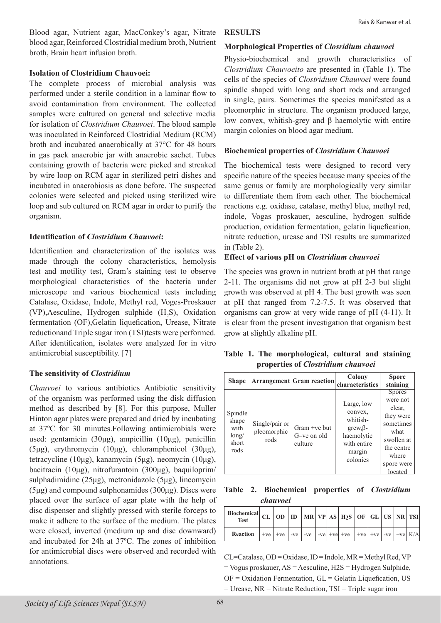Blood agar, Nutrient agar, MacConkey's agar, Nitrate blood agar, Reinforced Clostridial medium broth, Nutrient broth, Brain heart infusion broth.

#### **Isolation of Clostridium Chauvoei:**

The complete process of microbial analysis was performed under a sterile condition in a laminar flow to avoid contamination from environment. The collected samples were cultured on general and selective media for isolation of *Clostridium Chauvoei*. The blood sample was inoculated in Reinforced Clostridial Medium (RCM) broth and incubated anaerobically at 37°C for 48 hours in gas pack anaerobic jar with anaerobic sachet. Tubes containing growth of bacteria were picked and streaked by wire loop on RCM agar in sterilized petri dishes and incubated in anaerobiosis as done before. The suspected colonies were selected and picked using sterilized wire loop and sub cultured on RCM agar in order to purify the organism.

# **Identification of** *Clostridium Chauvoei***:**

Identification and characterization of the isolates was made through the colony characteristics, hemolysis test and motility test, Gram's staining test to observe morphological characteristics of the bacteria under microscope and various biochemical tests including Catalase, Oxidase, Indole, Methyl red, Voges-Proskauer (VP), Aesculine, Hydrogen sulphide  $(H_2S)$ , Oxidation fermentation (OF),Gelatin liquefication, Urease, Nitrate reductionand Triple sugar iron (TSI)tests were performed. After identification, isolates were analyzed for in vitro antimicrobial susceptibility. [7]

# **The sensitivity of** *Clostridium*

*Chauvoei* to various antibiotics Antibiotic sensitivity of the organism was performed using the disk diffusion method as described by [8]. For this purpose, Muller Hinton agar plates were prepared and dried by incubating at 37ºC for 30 minutes.Following antimicrobials were used: gentamicin (30μg), ampicillin (10μg), penicillin (5μg), erythromycin (10μg), chloramphenicol (30μg), tetracycline (10μg), kanamycin (5μg), neomycin (10μg), bacitracin (10μg), nitrofurantoin (300μg), baquiloprim/ sulphadimidine (25μg), metronidazole (5μg), lincomycin  $(5\mu g)$  and compound sulphonamides  $(300\mu g)$ . Discs were placed over the surface of agar plate with the help of disc dispenser and slightly pressed with sterile forceps to make it adhere to the surface of the medium. The plates were closed, inverted (medium up and disc downward) and incubated for 24h at 37ºC. The zones of inhibition for antimicrobial discs were observed and recorded with annotations.

#### **RESULTS**

#### **Morphological Properties of** *Closridium chauvoei*

Physio-biochemical and growth characteristics of *Clostridium Chauvoeito* are presented in (Table 1). The cells of the species of *Clostridium Chauvoei* were found spindle shaped with long and short rods and arranged in single, pairs. Sometimes the species manifested as a pleomorphic in structure. The organism produced large, low convex, whitish-grey and β haemolytic with entire margin colonies on blood agar medium.

#### **Biochemical properties of** *Clostridium Chauvoei*

The biochemical tests were designed to record very specific nature of the species because many species of the same genus or family are morphologically very similar to differentiate them from each other. The biochemical reactions e.g. oxidase, catalase, methyl blue, methyl red, indole, Vogas proskauer, aesculine, hydrogen sulfide production, oxidation fermentation, gelatin liquefication, nitrate reduction, urease and TSI results are summarized in (Table 2).

# **Effect of various pH on** *Clostridium chauvoei*

The species was grown in nutrient broth at pH that range 2-11. The organisms did not grow at pH 2-3 but slight growth was observed at pH 4. The best growth was seen at pH that ranged from 7.2-7.5. It was observed that organisms can grow at very wide range of pH (4-11). It is clear from the present investigation that organism best grow at slightly alkaline pH.

|                                           |  |  | Table 1. The morphological, cultural and staining |  |  |  |  |  |  |
|-------------------------------------------|--|--|---------------------------------------------------|--|--|--|--|--|--|
| properties of <i>Clostridium chauvoei</i> |  |  |                                                   |  |  |  |  |  |  |

| <b>Shape</b>                                       |                                       | <b>Arrangement Gram reaction</b>         | Colony<br>characteristics                                                                                      | <b>Spore</b><br>staining                                                                                                            |
|----------------------------------------------------|---------------------------------------|------------------------------------------|----------------------------------------------------------------------------------------------------------------|-------------------------------------------------------------------------------------------------------------------------------------|
| Spindle<br>shape<br>with<br>long/<br>short<br>rods | Single/pair or<br>pleomorphic<br>rods | $Gram +ve$ but<br>G-ve on old<br>culture | Large, low<br>convex,<br>whitish-<br>$\text{grow}, \beta$ -<br>haemolytic<br>with entire<br>margin<br>colonies | <b>Spores</b><br>were not<br>clear.<br>they were<br>sometimes<br>what<br>swollen at<br>the centre<br>where<br>spore were<br>located |

**Table 2. Biochemical properties of** *Clostridium chauvoei*

| Biochemical CL OD D MR VP AS H2S OF GL US NR TSI<br><b>Test</b> |  |  |  |                                                           |  |  |  |
|-----------------------------------------------------------------|--|--|--|-----------------------------------------------------------|--|--|--|
| <b>Reaction</b>                                                 |  |  |  | $+ve$ +ve -ve -ve -ve -ve +ve +ve +ve +ve +ve -ve +ve $x$ |  |  |  |

CL=Catalase, OD = Oxidase, ID = Indole, MR = Methyl Red, VP = Vogus proskauer, AS = Aesculine, H2S = Hydrogen Sulphide,  $OF = Oxidation$  Fermentation,  $GL = Gelatin$  Liquefication, US = Urease, NR = Nitrate Reduction, TSI = Triple sugar iron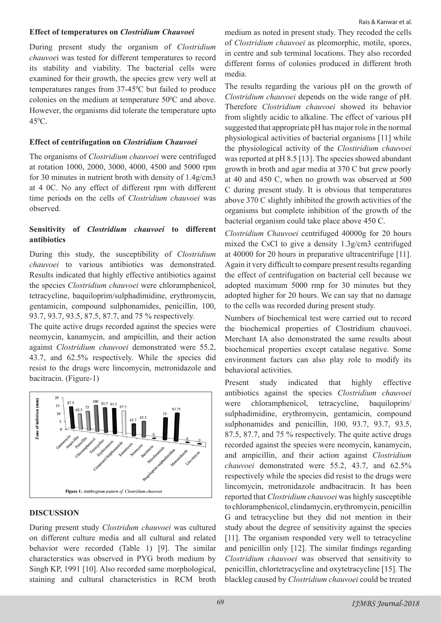# **Effect of temperatures on** *Clostridium Chauvoei*

During present study the organism of *Clostridium chauvoe*i was tested for different temperatures to record its stability and viability. The bacterial cells were examined for their growth, the species grew very well at temperatures ranges from  $37-45^{\circ}$ C but failed to produce colonies on the medium at temperature  $50^{\circ}$ C and above. However, the organisms did tolerate the temperature upto  $45^{\circ}$ C.

# **Effect of centrifugation on** *Clostridium Chauvoei*

The organisms of *Clostridium chauvoei* were centrifuged at rotation 1000, 2000, 3000, 4000, 4500 and 5000 rpm for 30 minutes in nutrient broth with density of 1.4g/cm3 at 4 0C. No any effect of different rpm with different time periods on the cells of *Clostridium chauvoei* was observed.

# **Sensitivity of** *Clostridium chauvoei* **to different antibiotics**

During this study, the susceptibility of *Clostridium chauvoei* to various antibiotics was demonstrated. Results indicated that highly effective antibiotics against the species *Clostridium chauvoei* were chloramphenicol, tetracycline, baquiloprim/sulphadimidine, erythromycin, gentamicin, compound sulphonamides, penicillin, 100, 93.7, 93.7, 93.5, 87.5, 87.7, and 75 % respectively.

The quite active drugs recorded against the species were neomycin, kanamycin, and ampicillin, and their action against *Clostridium chauvoei* demonstrated were 55.2, 43.7, and 62.5% respectively. While the species did resist to the drugs were lincomycin, metronidazole and bacitracin. (Figure-1)



#### **DISCUSSION**

During present study *Clostridum chauvoei* was cultured on different culture media and all cultural and related behavior were recorded (Table 1) [9]. The similar characterstics was observed in PYG broth medium by Singh KP, 1991 [10]. Also recorded same morphological, staining and cultural characteristics in RCM broth

medium as noted in present study. They recoded the cells of *Clostridium chauvoei* as pleomorphic, motile, spores, in centre and sub terminal locations. They also recorded different forms of colonies produced in different broth media.

The results regarding the various pH on the growth of *Clostridium chauvoei* depends on the wide range of pH. Therefore *Clostridium chauvoei* showed its behavior from slightly acidic to alkaline. The effect of various pH suggested that appropriate pH has major role in the normal physiological activities of bacterial organisms [11] while the physiological activity of the *Clostiridium chauvoei*  was reported at pH 8.5 [13]. The species showed abundant growth in broth and agar media at 370 C but grew poorly at 40 and 450 C, when no growth was observed at 500 C during present study. It is obvious that temperatures above 370 C slightly inhibited the growth activities of the organisms but complete inhibition of the growth of the bacterial organism could take place above 450 C.

*Clostridium Chauvoei* centrifuged 40000g for 20 hours mixed the CsCl to give a density 1.3g/cm3 centrifuged at 40000 for 20 hours in preparative ultracentrifuge [11]. Again it very difficult to compare present results regarding the effect of centrifugation on bacterial cell because we adopted maximum 5000 rmp for 30 minutes but they adopted higher for 20 hours. We can say that no damage to the cells was recorded during present study.

Numbers of biochemical test were carried out to record the biochemical properties of Clostridium chauvoei. Merchant IA also demonstrated the same results about biochemical properties except catalase negative. Some environment factors can also play role to modify its behavioral activities.

Present study indicated that highly effective antibiotics against the species *Clostridium chauvoei* were chloramphenicol, tetracycline, baquiloprim/ sulphadimidine, erythromycin, gentamicin, compound sulphonamides and penicillin, 100, 93.7, 93.7, 93.5, 87.5, 87.7, and 75 % respectively. The quite active drugs recorded against the species were neomycin, kanamycin, and ampicillin, and their action against *Clostridium chauvoei* demonstrated were 55.2, 43.7, and 62.5% respectively while the species did resist to the drugs were lincomycin, metronidazole andbacitracin. It has been reported that *Clostridium chauvoei* was highly susceptible to chloramphenicol, clindamycin, erythromycin, penicillin G and tetracycline but they did not mention in their study about the degree of sensitivity against the species [11]. The organism responded very well to tetracycline and penicillin only [12]. The similar findings regarding *Clostridium chauvoei* was observed that sensitivity to penicillin, chlortetracycline and oxytetracycline [15]. The blackleg caused by *Clostridium chauvoei* could be treated